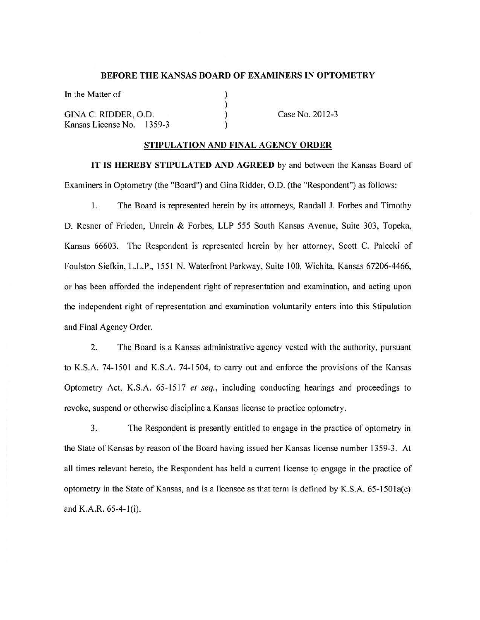#### **BEFORE THE KANSAS BOARD OF EXAMINERS IN OPTOMETRY**

) ) ) )

In the Matter of GINA C. RIDDER, 0.0. Kansas License No. 1359-3

Case No. 2012-3

#### **STIPULATION AND FINAL AGENCY ORDER**

**IT IS HEREBY STIPULATED AND AGREED** by and between the Kansas Board of Examiners in Optometry (the "Board") and Gina Ridder, 0.0. (the "Respondent") as follows:

l. The Board is represented herein by its attorneys, Randall J. Forbes and Timothy D. Resner of Frieden, Unrein & Forbes, LLP 555 South Kansas Avenue, Suite 303, Topeka, Kansas 66603. The Respondent is represented herein by her attorney, Scott C. Palecki of Foulston Sietkin, L.L.P., 1551 N. Waterfront Parkway, Suite I 00, Wichita, Kansas 67206-4466, or has been afforded the independent right of representation and examination, and acting upon the independent right of representation and examination voluntarily enters into this Stipulation and Final Agency Order.

2. The Board is a Kansas administrative agency vested with the authority, pursuant to K.S.A. 74-1501 and K.S.A. 74-1504, to carry out and enforce the provisions of the Kansas Optometry Act, K.S.A. 65-1517 *et seq.,* including conducting hearings and proceedings to revoke, suspend or otherwise discipline a Kansas license to practice optometry.

3. The Respondent is presently entitled to engage in the practice of optometry in the State of Kansas by reason of the Board having issued her Kansas license number 1359-3. At all times relevant hereto, the Respondent has held a current license to engage in the practice of optometry in the State of Kansas, and is a licensee as that term is defined by K.S.A. 65-1501a(c) and K.A.R. 65-4-l(i).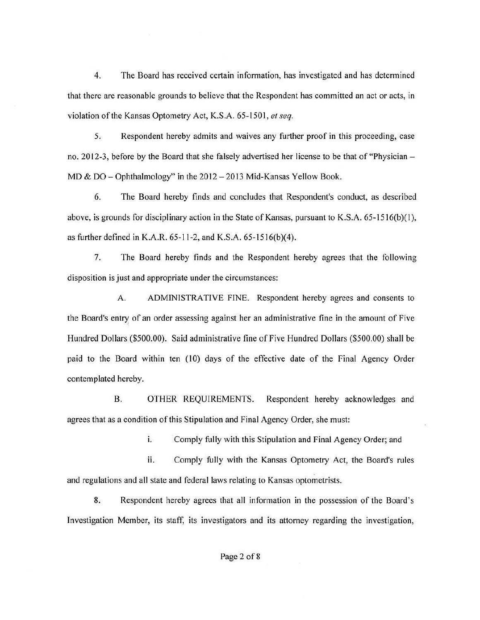4. The Board has received certain information, has investigated and has determined that there are reasonable grounds to believe that the Respondent has committed an act or acts, in violation of the Kansas Optometry Act, K.S.A. 65-1501, *et seq.* 

5. Respondent hereby admits and waives any further proof in this proceeding, case no. 2012-3, before by the Board that she falsely advertised her license to be that of "Physician -MD & DO - Ophthalmology" in the 2012 - 2013 Mid-Kansas Yellow Book.

6. The Board hereby finds and concludes that Respondent's conduct, as described above, is grounds for disciplinary action in the State of Kansas, pursuant to K.S.A.  $65$ -151 $6(b)(1)$ , as further defined in K.A.R. 65-11-2, and K.S.A. 65-1516(b)(4).

7. The Board hereby finds and the Respondent hereby agrees that the following disposition is just and appropriate under the circumstances:

A. ADMINISTRATIVE FINE. Respondent hereby agrees and consents to the Board's entry of an order assessing against her an administrative fine in the amount of Five Hundred Dollars (\$500.00). Said administrative fine of Five Hundred Dollars (\$500.00) shall be paid to the Board within ten (10) days of the effective date of the Final Agency Order contemplated hereby.

B. OTHER REQUIREMENTS. Respondent hereby acknowledges and agrees that as a condition of this Stipulation and Final Agency Order, she must:

i. Comply fully with this Stipulation and Final Agency Order; and

ii. Comply fully with the Kansas Optometry Act, the Board's rules and regulations and all state and federal laws relating to Kansas optometrists.

8. Respondent hereby agrees that all information in the possession of the Board's Investigation Member, its staff, its investigators and its attorney regarding the investigation,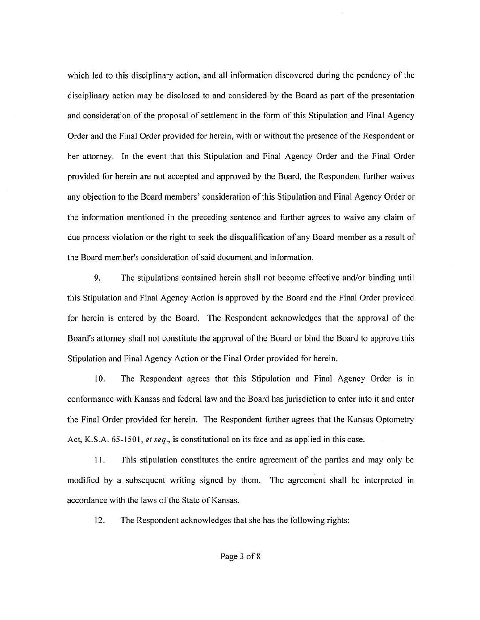which led to this disciplinary action, and all information discovered during the pendency of the disciplinary action may be disclosed to and considered by the Board as part of the presentation and consideration of the proposal of settlement in the form of this Stipulation and Final Agency Order and the Final Order provided for herein, with or without the presence of the Respondent or her attorney. In the event that this Stipulation and Final Agency Order and the Final Order provided for herein are not accepted and approved by the Board, the Respondent further waives any objection to the Board members' consideration of this Stipulation and Final Agency Order or the information mentioned in the preceding sentence and further agrees to waive any claim of due process violation or the right to seek the disqualification of any Board member as a result of the Board member's consideration of said document and information.

9. The stipulations contained herein shall not become effective and/or binding until this Stipulation and Final Agency Action is approved by the Board and the Final Order provided for herein is entered by the Board. The Respondent acknowledges that the approval of the Board's attorney shall not constitute the approval of the Board or bind the Board to approve this Stipulation and Final Agency Action or the Final Order provided for herein.

10. The Respondent agrees that this Stipulation and Final Agency Order is in conformance with Kansas and federal law and the Board has jurisdiction to enter into it and enter the Final Order provided for herein. The Respondent further agrees that the Kansas Optometry Act, **K.S.A.** 65-1501, *et seq.,* is constitutional on its face and as applied in this case.

11. This stipulation constitutes the entire agreement of the parties and may only be modified by a subsequent writing signed by them. The agreement shall be interpreted in accordance with the laws of the State of Kansas.

12. The Respondent acknowledges that she has the following rights: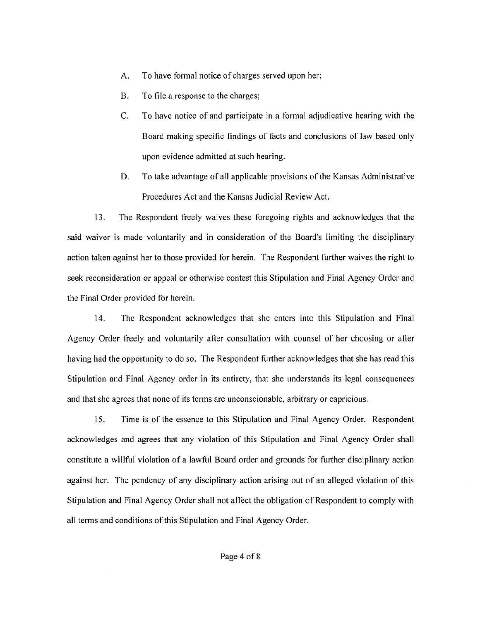- A. To have formal notice of charges served upon her;
- B. To file a response to the charges;
- C. To have notice of and participate in a formal adjudicative hearing with the Board making specific findings of facts and conclusions of law based only upon evidence admitted at such hearing.
- D. To take advantage of all applicable provisions of the Kansas Administrative Procedures Act and the Kansas Judicial Review Act.

13. The Respondent freely waives these foregoing rights and acknowledges that the said waiver is made voluntarily and in consideration of the Board's limiting the disciplinary action taken against her to those provided for herein. The Respondent further waives the right to seek reconsideration or appeal or otherwise contest this Stipulation and Final Agency Order and the Final Order provided for herein.

14. The Respondent acknowledges that she enters into this Stipulation and Final Agency Order freely and voluntarily after consultation with counsel of her choosing or after having had the opportunity to do so. The Respondent further acknowledges that she has read this Stipulation and Final Agency order in its entirety, that she understands its legal consequences and that she agrees that none of its terms are unconscionable, arbitrary or capricious.

15. Time is of the essence to this Stipulation and Final Agency Order. Respondent acknowledges and agrees that any violation of this Stipulation and Final Agency Order shall constitute a willful violation of a lawful Board order and grounds for further disciplinary action against her. The pendency of any disciplinary action arising out of an alleged violation of this Stipulation and Final Agency Order shall not affect the obligation of Respondent to comply with all terms and conditions of this Stipulation and Final Agency Order.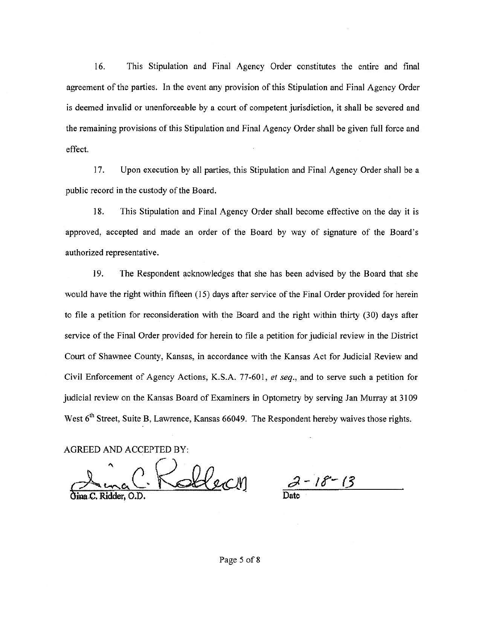16. This Stipulation and Final Agency Order constitutes the entire and final agreement of the parties. In the event any provision of this Stipulation and Final Agency Order is deemed invalid or unenforceable by a court of competent jurisdiction, it shall be severed and the remaining provisions of this Stipulation and Final Agency Order shall be given full force and effect.

17. Upon execution by all parties, this Stipulation and Final Agency Order shall be a public record in the custody of the Board.

18. This Stipulation and Final Agency Order shall become effective on the day it is approved, accepted and made an order of the Board by way of signature of the Board's authorized representative.

19. The Respondent acknowledges that she has been advised by the Board that she would have the right within fifteen (15) days after service of the Final Order provided for herein to file a petition for reconsideration with the Board and the right within thirty (30) days after service of the Final Order provided for herein to file a petition for judicial review in the District Court of Shawnee County, Kansas, in accordance with the Kansas Act for Judicial Review and Civil Enforcement of Agency Actions, K.S.A. 77-601, *et seq.,* and to serve such a petition for judicial review on the Kansas Board of Examiners in Optometry by serving Jan Murray at 3109 West 6<sup>th</sup> Street, Suite B, Lawrence, Kansas 66049. The Respondent hereby waives those rights.

AGREED AND ACCEPTED BY:

Soblect

**Date** 

Page 5 of 8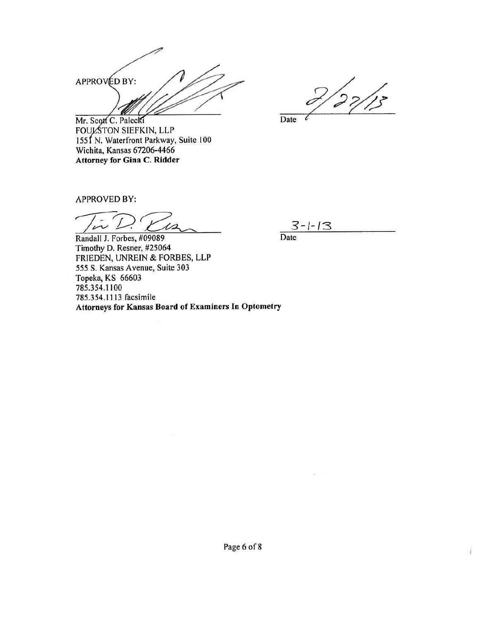APPROVÉD BY:

 $2/27/15$ 

Mr. Scott C. Palecki FOULSTON SIEFKIN, LLP 1551 N. Waterfront Parkway, Suite 100 Wichita, Kansas 67206-4466 **Attorney for Gina C. Ridder** 

Date

APPROVED BY:

 $\iota$ 

 $3 - 1 - 13$ Date

Randall J. Forbes, #09089 Timothy D. Resner, #25064 FRIEDEN, UNREIN & FORBES, LLP *555* S. Kansas Avenue, Suite 303 Topeka, KS 66603 785.354.1100 785.354.1113 facsimile Attorneys for Kansas Board of Examiners In Optometry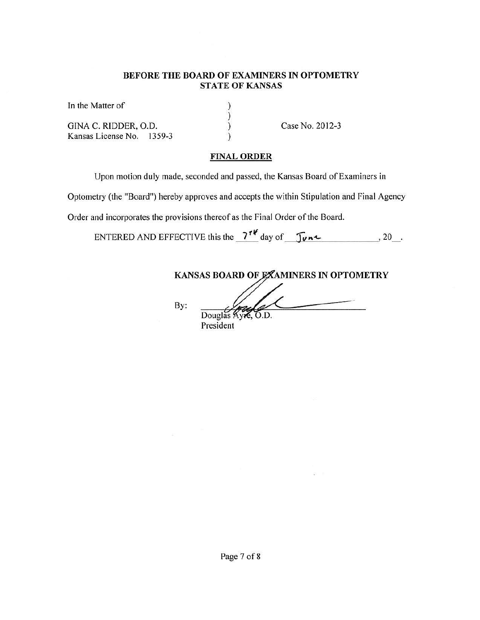## **BEFORE THE BOARD OF EXAMINERS** IN **OPTOMETRY STATE OF KANSAS**

) ) ) )

In the Matter of

GINA C. RIDDER, 0.0. Kansas License No. 1359-3 Case No. 2012-3

# **FINAL ORDER**

Upon motion duly made, seconded and passed, the Kansas Board of Examiners in

Optometry (the "Board") hereby approves and accepts the within Stipulation and Final Agency

Order and incorporates the provisions thereof as the Final Order of the Board.

ENTERED AND EFFECTIVE this the *7<sup>1</sup>***t** day of\_.\_J~V-"\_-t.. \_\_\_\_\_ , 20\_.

KANSAS BOARD OF EXAMINERS IN OPTOMETRY

By:

Douglas Ayre, O.D. President